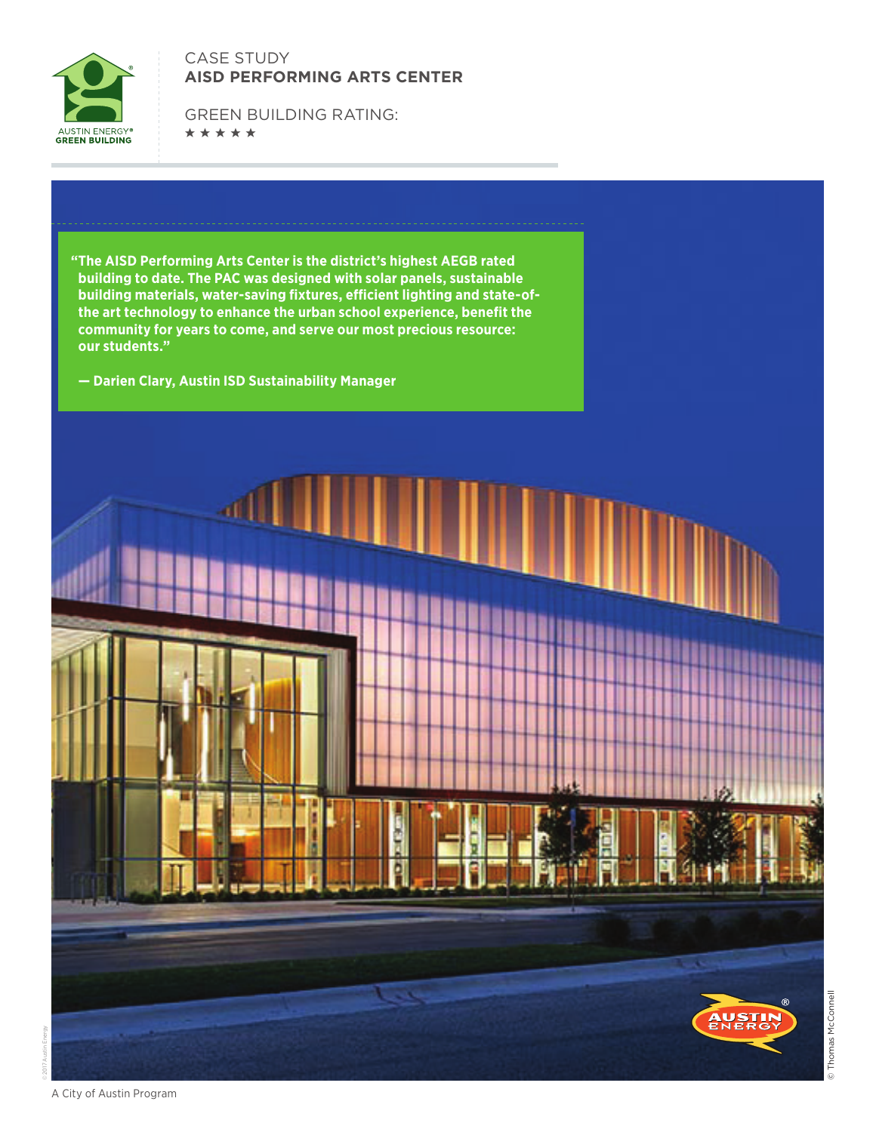

## CASE STUDY **AISD PERFORMING ARTS CENTER**

GREEN BUILDING RATING: \*\*\*\*\*

**"The AISD Performing Arts Center is the district's highest AEGB rated building to date. The PAC was designed with solar panels, sustainable building materials, water-saving fixtures, efficient lighting and state-ofthe art technology to enhance the urban school experience, benefit the community for years to come, and serve our most precious resource: our students."** 

**— Darien Clary, Austin ISD Sustainability Manager**



© Thomas McConnell

Thomas McConnell